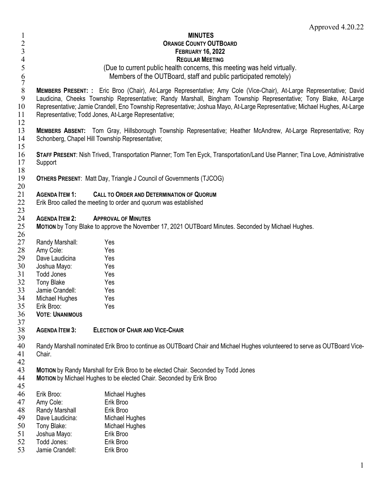## 1 **MINUTES** <sup>2</sup><br>
2 **ORANGE COUNTY OUTBOARD**<br> **EEBRUARY 16, 2022** 3 **FEBRUARY 16, 2022** 4<br>5 **REGULAR MEETING**<br>5 **CDue to current public health concerns**, this r 5 (Due to current public health concerns, this meeting was held virtually. 6 Members of the OUTBoard, staff and public participated remotely)<br>7<br>**MEMBERS PRESENT:** : Eric Broo (Chair), At-Large Representative; Amy Cole (Vice-Chair), At-L 8 **MEMBERS PRESENT: :** Eric Broo (Chair), At-Large Representative; Amy Cole (Vice-Chair), At-Large Representative; David Laudicina, Cheeks Township Representative; Randy Marshall, Bingham Township Representative; Tony Blake, At-Large 10 Representative; Jamie Crandell, Eno Township Representative; Joshua Mayo, At-Large Representative; Michael Hughes, At-Large 11 Representative; Todd Jones, At-Large Representative;  $\frac{12}{13}$ 13 **MEMBERS ABSENT:** Tom Gray, Hillsborough Township Representative; Heather McAndrew, At-Large Representative; Roy Schonberg, Chapel Hill Township Representative; 15 16 **STAFF PRESENT**: Nish Trivedi, Transportation Planner; Tom Ten Eyck, Transportation/Land Use Planner; Tina Love, Administrative 17 Support  $\frac{18}{19}$ **OTHERS PRESENT: Matt Day, Triangle J Council of Governments (TJCOG)** 20 21 **AGENDA ITEM 1: CALL TO ORDER AND DETERMINATION OF QUORUM** Erik Broo called the meeting to order and quorum was established 23 24 **AGENDA ITEM 2: APPROVAL OF MINUTES**  25 **MOTION** by Tony Blake to approve the November 17, 2021 OUTBoard Minutes. Seconded by Michael Hughes. 26 27 Randy Marshall: Yes<br>28 Amy Cole: Yes 28 Amy Cole: Yes<br>29 Dave Laudicina Yes Dave Laudicina Yes 30 Joshua Mayo: Yes 31 Todd Jones Yes<br>32 Tony Blake Yes 32 Tony Blake<br>33 Jamie Crano 33 Jamie Crandell: Yes 34 Michael Hughes Yes<br>35 Erik Broo: Yes 35 Erik Broo: Yes 36 **VOTE**: **UNANIMOUS** 37 38 **AGENDA ITEM 3: ELECTION OF CHAIR AND VICE-CHAIR** 39 40 Randy Marshall nominated Erik Broo to continue as OUTBoard Chair and Michael Hughes volunteered to serve as OUTBoard Vice-41 Chair. 42<br>43 **MOTION** by Randy Marshall for Erik Broo to be elected Chair. Seconded by Todd Jones 44 **MOTION** by Michael Hughes to be elected Chair. Seconded by Erik Broo 45<br>46 46 Erik Broo: Michael Hughes 47 Amy Cole: Erik Broo<br>48 Randy Marshall Fik Broo 48 Randy Marshall Frik Broo<br>49 Dave Laudicina: Michael Hughes 49 Dave Laudicina:<br>50 Tony Blake: 50 Tony Blake: Michael Hughes<br>51 Joshua Mavo: Erik Broo 51 Joshua Mayo: Erik Broo<br>52 Todd Jones: Erik Broo Todd Jones: 53 Jamie Crandell: Erik Broo